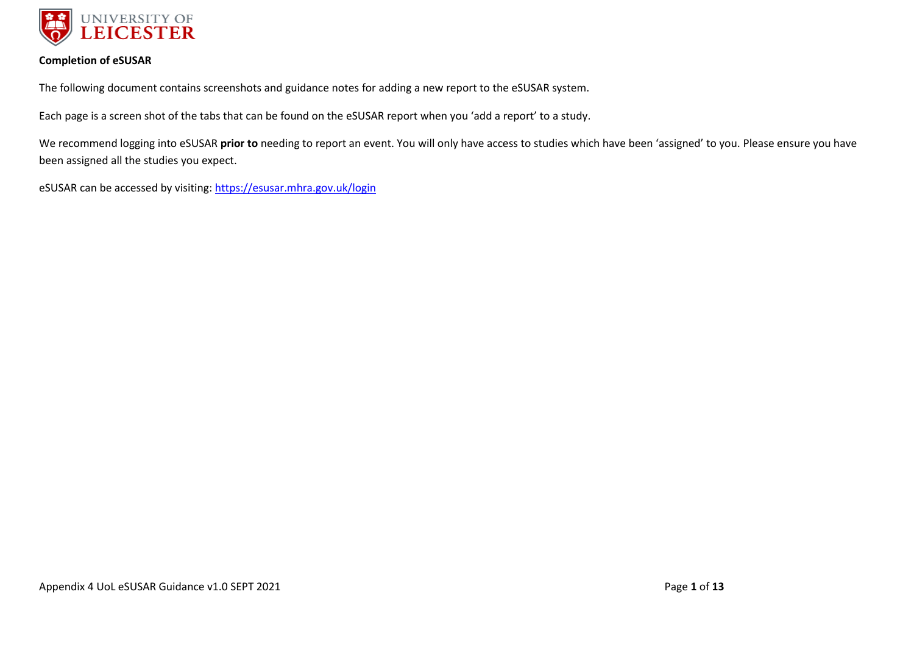

#### **Completion of eSUSAR**

The following document contains screenshots and guidance notes for adding a new report to the eSUSAR system.

Each page is a screen shot of the tabs that can be found on the eSUSAR report when you 'add a report' to a study.

We recommend logging into eSUSAR **prior to** needing to report an event. You will only have access to studies which have been 'assigned' to you. Please ensure you have been assigned all the studies you expect.

eSUSAR can be accessed by visiting:<https://esusar.mhra.gov.uk/login>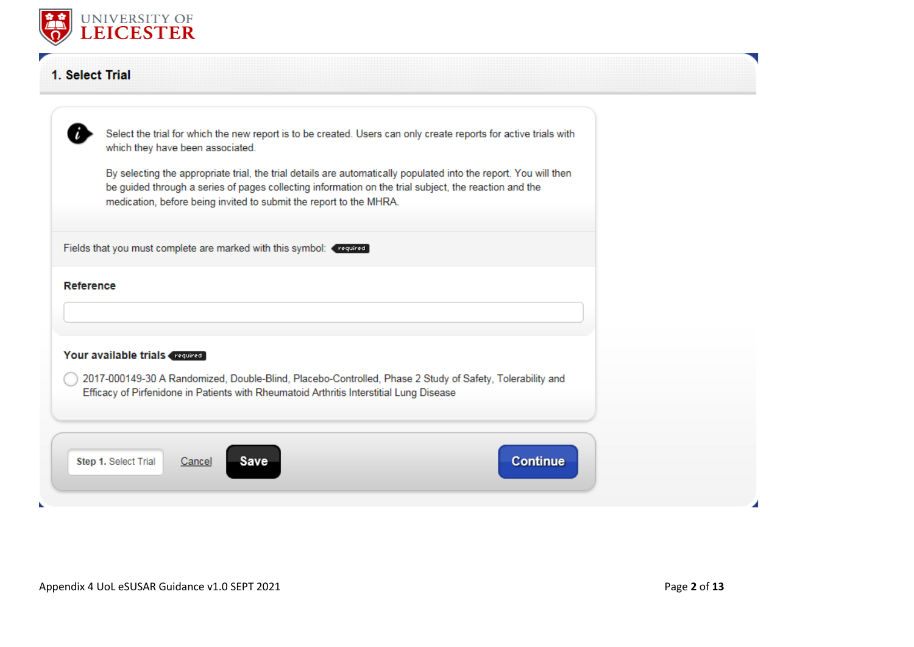

# 1. Select Trial

| Select the trial for which the new report is to be created. Users can only create reports for active trials with<br>which they have been associated.                                                                                                                                            |  |
|-------------------------------------------------------------------------------------------------------------------------------------------------------------------------------------------------------------------------------------------------------------------------------------------------|--|
| By selecting the appropriate trial, the trial details are automatically populated into the report. You will then<br>be guided through a series of pages collecting information on the trial subject, the reaction and the<br>medication, before being invited to submit the report to the MHRA. |  |
| Fields that you must complete are marked with this symbol: (required)                                                                                                                                                                                                                           |  |
| <b>Reference</b>                                                                                                                                                                                                                                                                                |  |
|                                                                                                                                                                                                                                                                                                 |  |
| Your available trials (request)                                                                                                                                                                                                                                                                 |  |
| 2017-000149-30 A Randomized, Double-Blind, Placebo-Controlled, Phase 2 Study of Safety, Tolerability and<br>Efficacy of Pirfenidone in Patients with Rheumatoid Arthritis Interstitial Lung Disease                                                                                             |  |
| <b>Continue</b><br>Step 1. Select Trial<br>Save<br>Cancel                                                                                                                                                                                                                                       |  |
|                                                                                                                                                                                                                                                                                                 |  |

ĸ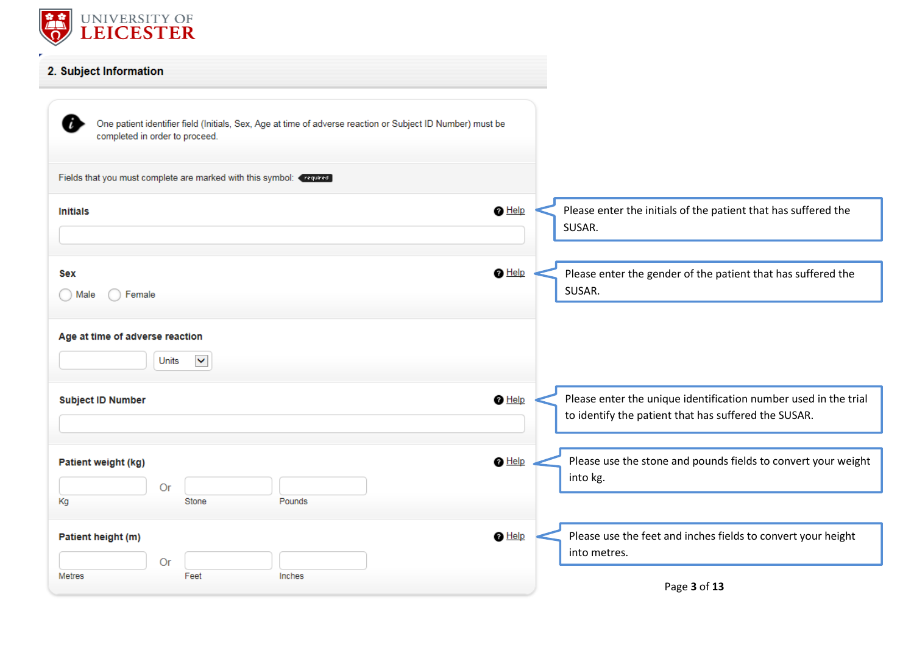

| 2. Subject Information                                                                                                                            |                                                                                                                         |
|---------------------------------------------------------------------------------------------------------------------------------------------------|-------------------------------------------------------------------------------------------------------------------------|
| i<br>One patient identifier field (Initials, Sex, Age at time of adverse reaction or Subject ID Number) must be<br>completed in order to proceed. |                                                                                                                         |
| Fields that you must complete are marked with this symbol: <<<<served                                                                             |                                                                                                                         |
| $\bigcirc$ Help<br><b>Initials</b>                                                                                                                | Please enter the initials of the patient that has suffered the<br>SUSAR.                                                |
| $\bigcirc$ Help<br>Sex<br>Female<br>◯ Male                                                                                                        | Please enter the gender of the patient that has suffered the<br>SUSAR.                                                  |
| Age at time of adverse reaction<br>$\blacktriangledown$<br>Units                                                                                  |                                                                                                                         |
| $\bigcirc$ Help<br><b>Subject ID Number</b>                                                                                                       | Please enter the unique identification number used in the trial<br>to identify the patient that has suffered the SUSAR. |
| $\bigcirc$ Help<br>Patient weight (kg)<br>Or<br>Кg<br>Stone<br>Pounds                                                                             | Please use the stone and pounds fields to convert your weight<br>into kg.                                               |
| $\bigcirc$ Help<br>Patient height (m)                                                                                                             | Please use the feet and inches fields to convert your height<br>into metres.                                            |
| Or<br><b>Metres</b><br>Feet<br>Inches                                                                                                             | Page 3 of 13                                                                                                            |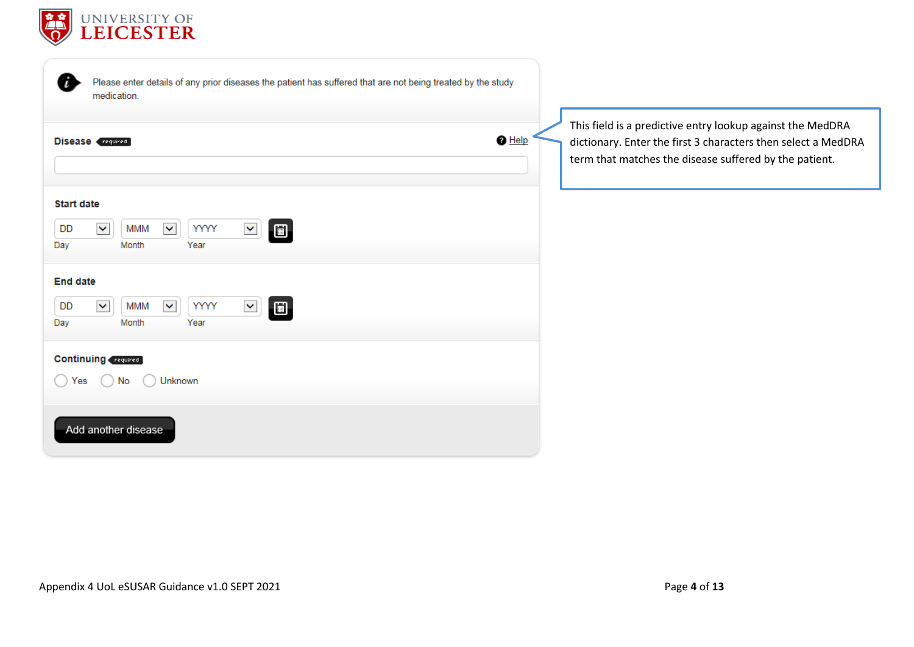

| Please enter details of any prior diseases the patient has suffered that are not being treated by the study<br>medication.              |                                                                                                                                                                                       |
|-----------------------------------------------------------------------------------------------------------------------------------------|---------------------------------------------------------------------------------------------------------------------------------------------------------------------------------------|
| $\bigcirc$ Help<br><b>Disease</b> required                                                                                              | This field is a predictive entry lookup against the MedDRA<br>dictionary. Enter the first 3 characters then select a MedDRA<br>term that matches the disease suffered by the patient. |
| <b>Start date</b><br>$\Box$<br>$\checkmark$<br>$\checkmark$<br>YYYY<br>$\blacktriangledown$<br>DD<br><b>MMM</b><br>Year<br>Month<br>Day |                                                                                                                                                                                       |
| <b>End date</b><br>$\blacktriangledown$<br>$\Box$<br>$\checkmark$<br>$\checkmark$<br>YYYY<br>DD<br><b>MMM</b><br>Month<br>Year<br>Day   |                                                                                                                                                                                       |
| <b>Continuing</b> required<br>Unknown<br>Yes<br>No.                                                                                     |                                                                                                                                                                                       |
| Add another disease                                                                                                                     |                                                                                                                                                                                       |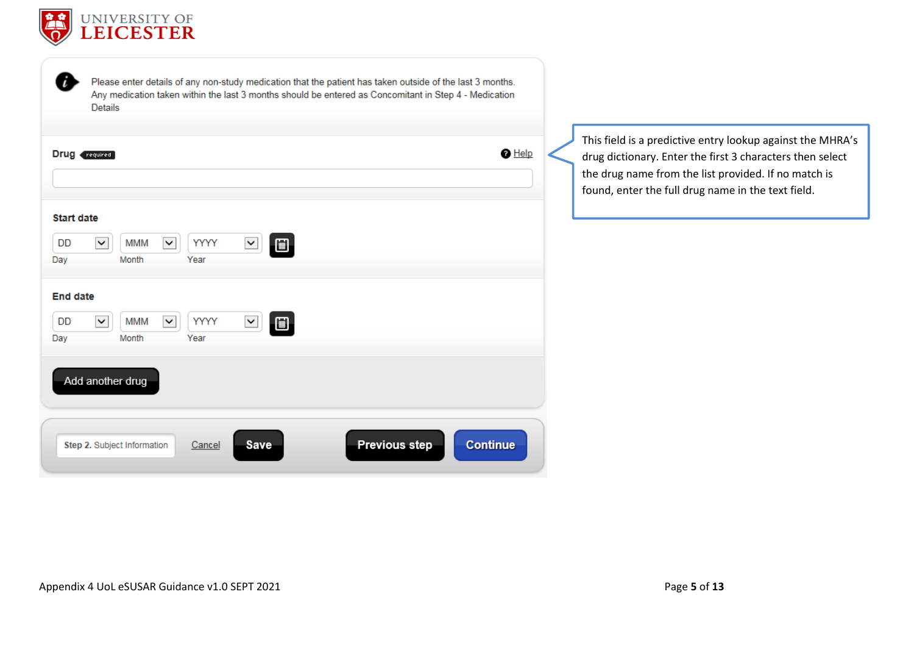

| <b>Start date</b><br><b>YYYY</b><br>MMM<br>DD<br>×<br>囼<br>◡<br>$\checkmark$<br>Month<br>Year<br>Day<br><b>End date</b><br>MMM<br>YYYY<br>DD |
|----------------------------------------------------------------------------------------------------------------------------------------------|
|                                                                                                                                              |
| ▣<br>×<br>v<br>$\checkmark$                                                                                                                  |

This field is a predictive entry lookup against the MHRA's drug dictionary. Enter the first 3 characters then select the drug name from the list provided. If no match is found, enter the full drug name in the text field.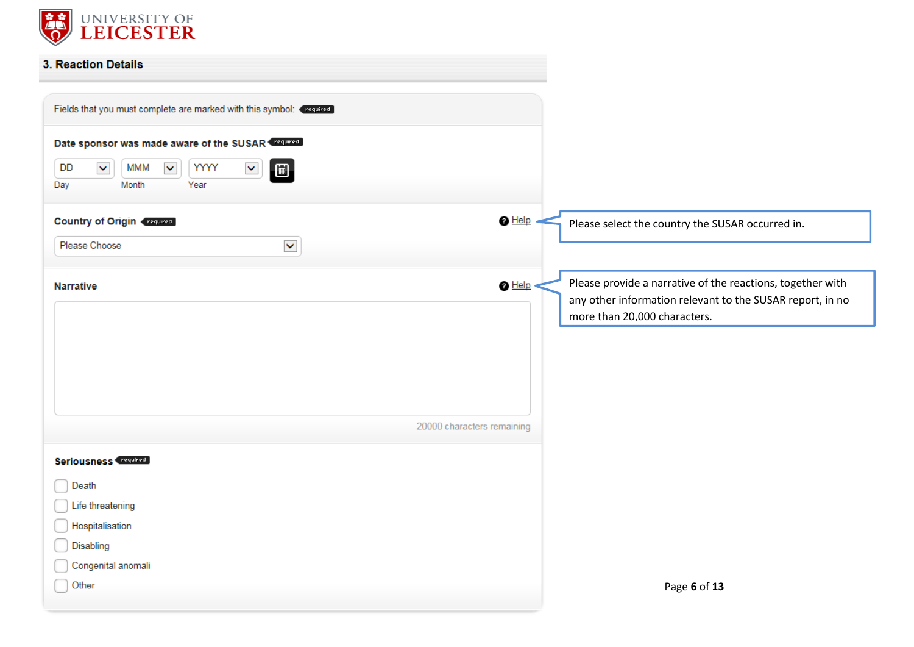

## 3. Reaction Details

| Fields that you must complete are marked with this symbol: <<<<<served                                                                                                                          |                                                                                                                                                                            |
|-------------------------------------------------------------------------------------------------------------------------------------------------------------------------------------------------|----------------------------------------------------------------------------------------------------------------------------------------------------------------------------|
| Date sponsor was made aware of the SUSAR Trequired<br>$\blacktriangledown$<br><b>MMM</b><br>$\checkmark$<br>YYYY<br><b>DD</b><br>$\blacktriangledown$<br>$\blacksquare$<br>Year<br>Month<br>Day |                                                                                                                                                                            |
| <b>Country of Origin (required)</b><br>$\blacktriangledown$<br>Please Choose                                                                                                                    | $\bigcirc$ Help<br>Please select the country the SUSAR occurred in.                                                                                                        |
| <b>Narrative</b>                                                                                                                                                                                | Please provide a narrative of the reactions, together with<br>$\bigcirc$ Help<br>any other information relevant to the SUSAR report, in no<br>more than 20,000 characters. |
|                                                                                                                                                                                                 | 20000 characters remaining                                                                                                                                                 |
| Seriousness (required)<br>Death<br>Life threatening<br>Hospitalisation<br>Disabling<br>Congenital anomali                                                                                       |                                                                                                                                                                            |
| Other                                                                                                                                                                                           | Page 6 of 13                                                                                                                                                               |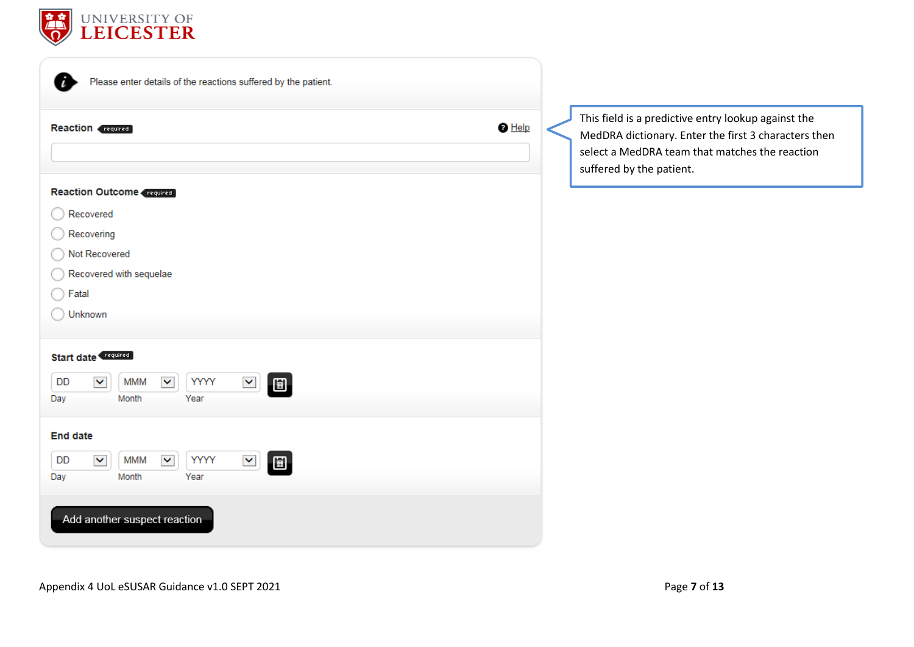

| Please enter details of the reactions suffered by the patient.                                                                                                         |                                                   |
|------------------------------------------------------------------------------------------------------------------------------------------------------------------------|---------------------------------------------------|
| $\bigcirc$ Help<br><b>Reaction</b> required                                                                                                                            | $\mathsf{I}$<br>N<br>S<br>$\overline{\mathsf{s}}$ |
| <b>Reaction Outcome Created</b><br>Recovered<br>Recovering<br>Not Recovered<br>Recovered with sequelae<br>Fatal<br>Unknown                                             |                                                   |
| <b>Start date</b><br><b>MMM</b><br><b>YYYY</b><br>DD<br>$\blacktriangledown$<br>$\blacktriangledown$<br>$\blacktriangledown$<br>$\blacksquare$<br>Year<br>Month<br>Day |                                                   |
| <b>End date</b><br><b>MMM</b><br><b>YYYY</b><br>DD<br>$\blacktriangledown$<br>$\blacktriangledown$<br>×<br>圃<br>Month<br>Year<br>Day                                   |                                                   |
| Add another suspect reaction                                                                                                                                           |                                                   |

This field is a predictive entry lookup against the MedDRA dictionary. Enter the first 3 characters then select a MedDRA team that matches the reaction suffered by the patient.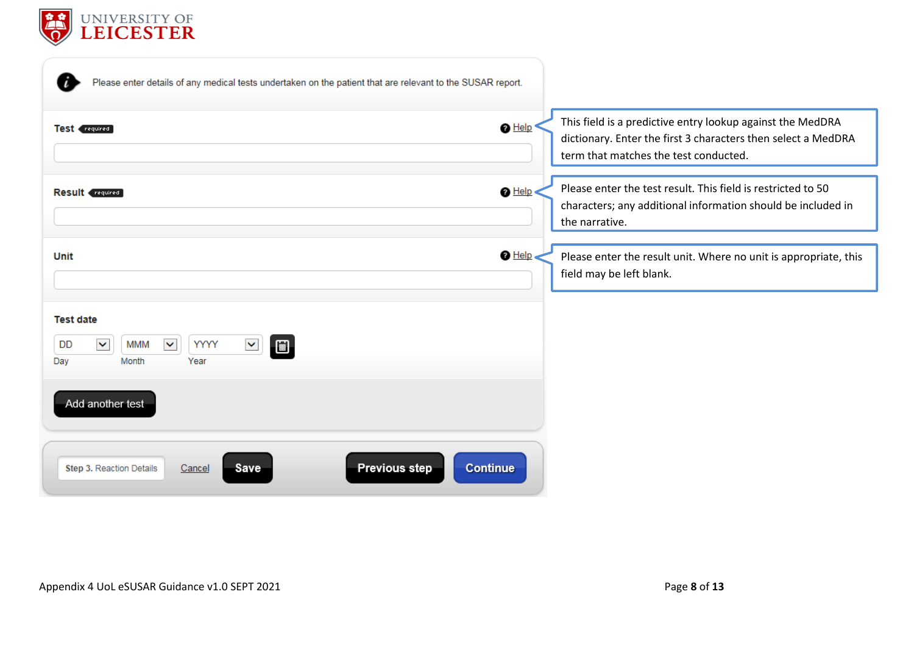

| Please enter details of any medical tests undertaken on the patient that are relevant to the SUSAR report.                        |                                                                                                                                                                                         |
|-----------------------------------------------------------------------------------------------------------------------------------|-----------------------------------------------------------------------------------------------------------------------------------------------------------------------------------------|
| Test (required)                                                                                                                   | This field is a predictive entry lookup against the MedDRA<br>$\bigcirc$ Help<br>dictionary. Enter the first 3 characters then select a MedDRA<br>term that matches the test conducted. |
| <b>Result</b> required                                                                                                            | Please enter the test result. This field is restricted to 50<br>$\bigcirc$ Help<br>characters; any additional information should be included in<br>the narrative.                       |
| Unit                                                                                                                              | $\bigcirc$ Help<br>Please enter the result unit. Where no unit is appropriate, this<br>field may be left blank.                                                                         |
| <b>Test date</b><br>$\checkmark$<br>$\checkmark$<br><b>MMM</b><br>YYYY<br>DD<br>$\blacktriangledown$<br>圖<br>Month<br>Year<br>Day |                                                                                                                                                                                         |
| Add another test                                                                                                                  |                                                                                                                                                                                         |
| <b>Previous step</b><br><b>Step 3. Reaction Details</b><br>Save<br>Cancel                                                         | <b>Continue</b>                                                                                                                                                                         |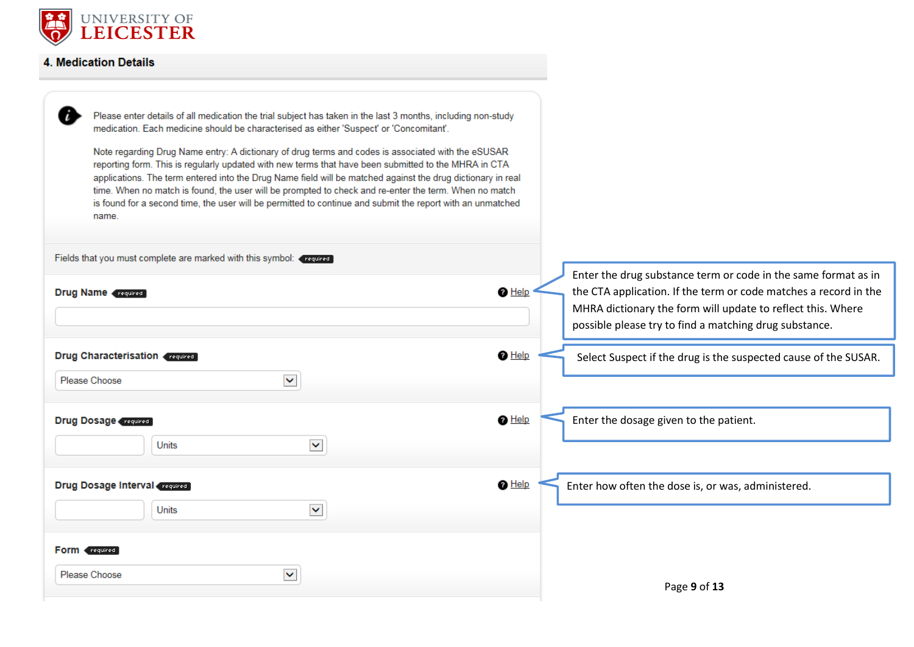

## 4. Medication Details

| name.                                                                                            | Please enter details of all medication the trial subject has taken in the last 3 months, including non-study<br>medication. Each medicine should be characterised as either 'Suspect' or 'Concomitant'.<br>Note regarding Drug Name entry: A dictionary of drug terms and codes is associated with the eSUSAR<br>reporting form. This is regularly updated with new terms that have been submitted to the MHRA in CTA<br>applications. The term entered into the Drug Name field will be matched against the drug dictionary in real<br>time. When no match is found, the user will be prompted to check and re-enter the term. When no match<br>is found for a second time, the user will be permitted to continue and submit the report with an unmatched |                                                                                                                                                                                                             |
|--------------------------------------------------------------------------------------------------|-------------------------------------------------------------------------------------------------------------------------------------------------------------------------------------------------------------------------------------------------------------------------------------------------------------------------------------------------------------------------------------------------------------------------------------------------------------------------------------------------------------------------------------------------------------------------------------------------------------------------------------------------------------------------------------------------------------------------------------------------------------|-------------------------------------------------------------------------------------------------------------------------------------------------------------------------------------------------------------|
| Fields that you must complete are marked with this symbol: required<br><b>Drug Name</b> required |                                                                                                                                                                                                                                                                                                                                                                                                                                                                                                                                                                                                                                                                                                                                                             | Enter the drug substance term or code in the same format as in<br>$\bigcirc$ Help<br>the CTA application. If the term or code matches a record in the                                                       |
| Drug Characterisation (required)                                                                 |                                                                                                                                                                                                                                                                                                                                                                                                                                                                                                                                                                                                                                                                                                                                                             | MHRA dictionary the form will update to reflect this. Where<br>possible please try to find a matching drug substance.<br>$\bigcirc$ Help<br>Select Suspect if the drug is the suspected cause of the SUSAR. |
| Please Choose                                                                                    | $\blacktriangledown$                                                                                                                                                                                                                                                                                                                                                                                                                                                                                                                                                                                                                                                                                                                                        |                                                                                                                                                                                                             |
| <b>Drug Dosage required</b><br><b>Units</b>                                                      | $\blacktriangledown$                                                                                                                                                                                                                                                                                                                                                                                                                                                                                                                                                                                                                                                                                                                                        | $\bigcirc$ Help<br>Enter the dosage given to the patient.                                                                                                                                                   |
| <b>Drug Dosage Interval required</b><br>Units                                                    | $\blacktriangledown$                                                                                                                                                                                                                                                                                                                                                                                                                                                                                                                                                                                                                                                                                                                                        | $\bigcirc$ Help<br>Enter how often the dose is, or was, administered.                                                                                                                                       |
| <b>Form</b> <i>required</i>                                                                      |                                                                                                                                                                                                                                                                                                                                                                                                                                                                                                                                                                                                                                                                                                                                                             |                                                                                                                                                                                                             |
| Please Choose                                                                                    | v                                                                                                                                                                                                                                                                                                                                                                                                                                                                                                                                                                                                                                                                                                                                                           | Page 9 of 13                                                                                                                                                                                                |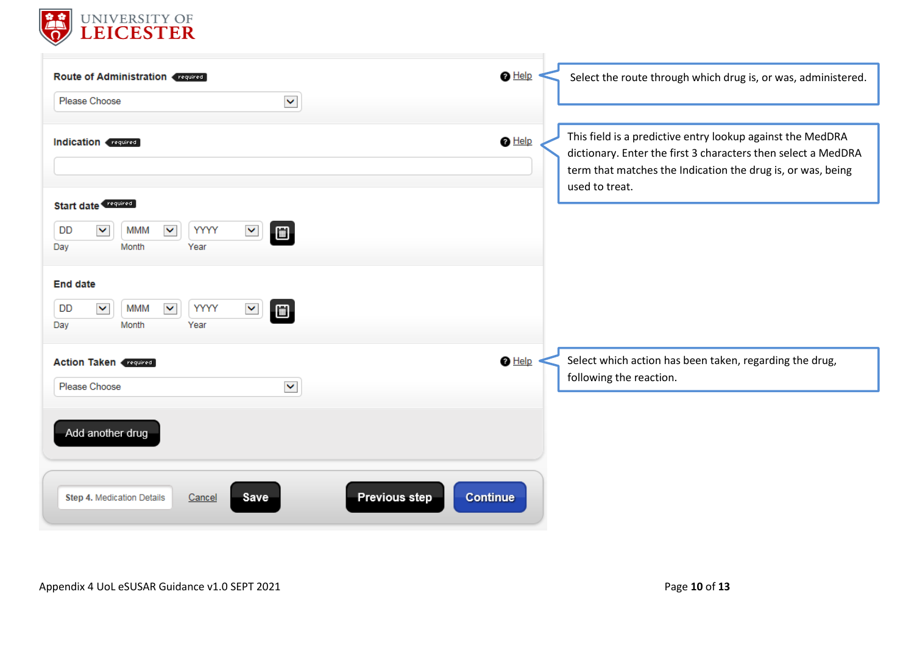

| <b>Route of Administration Crequired</b>                                                                                 | $\bigcirc$ Help<br>Select the route through which drug is, or was, administered.                                                                                                                                                |
|--------------------------------------------------------------------------------------------------------------------------|---------------------------------------------------------------------------------------------------------------------------------------------------------------------------------------------------------------------------------|
| $\blacktriangledown$<br>Please Choose                                                                                    |                                                                                                                                                                                                                                 |
| Indication (required)                                                                                                    | This field is a predictive entry lookup against the MedDRA<br>$\bigcirc$ Help<br>dictionary. Enter the first 3 characters then select a MedDRA<br>term that matches the Indication the drug is, or was, being<br>used to treat. |
| <b>Start date</b>                                                                                                        |                                                                                                                                                                                                                                 |
| $\blacktriangledown$<br>YYYY<br>$\blacktriangledown$<br><b>MMM</b><br>$\blacktriangledown$<br>DD<br>Month<br>Year<br>Day |                                                                                                                                                                                                                                 |
| <b>End date</b>                                                                                                          |                                                                                                                                                                                                                                 |
| $\checkmark$<br>$\blacktriangledown$<br>YYYY<br><b>MMM</b><br>$\blacktriangledown$<br><b>DD</b><br>Month<br>Year<br>Day  |                                                                                                                                                                                                                                 |
| <b>Action Taken (required)</b>                                                                                           | $\bigcirc$ Help<br>Select which action has been taken, regarding the drug,                                                                                                                                                      |
| $\blacktriangledown$<br>Please Choose                                                                                    | following the reaction.                                                                                                                                                                                                         |
| Add another drug                                                                                                         |                                                                                                                                                                                                                                 |
| <b>Previous step</b><br><b>Save</b><br>Step 4. Medication Details<br>Cancel                                              | Continue                                                                                                                                                                                                                        |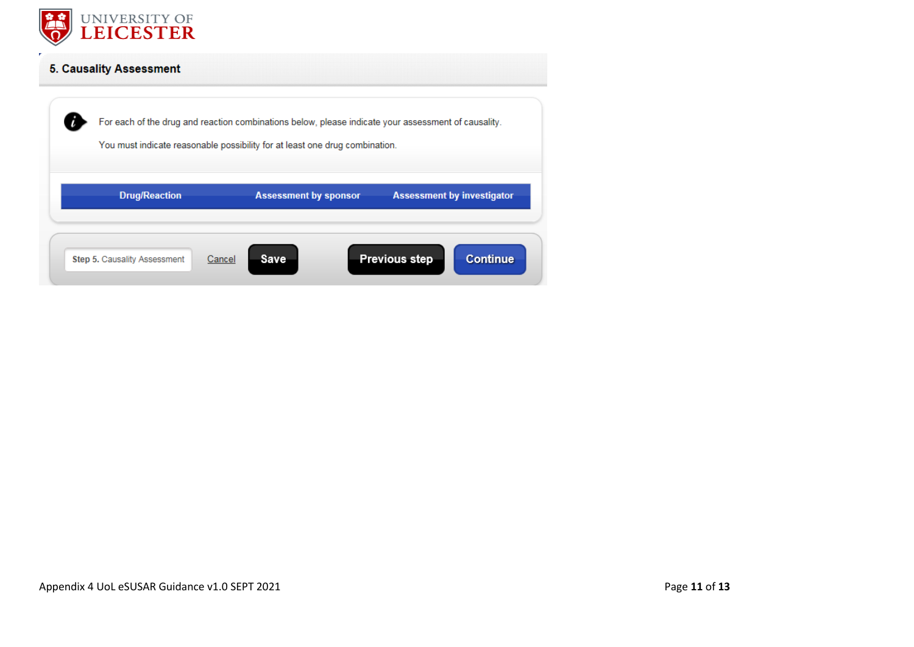

## **5. Causality Assessment**

|                                               | For each of the drug and reaction combinations below, please indicate your assessment of causality.<br>You must indicate reasonable possibility for at least one drug combination. |                                         |
|-----------------------------------------------|------------------------------------------------------------------------------------------------------------------------------------------------------------------------------------|-----------------------------------------|
| <b>Drug/Reaction</b>                          | <b>Assessment by sponsor</b>                                                                                                                                                       | <b>Assessment by investigator</b>       |
| <b>Step 5. Causality Assessment</b><br>Cancel | Save                                                                                                                                                                               | <b>Previous step</b><br><b>Continue</b> |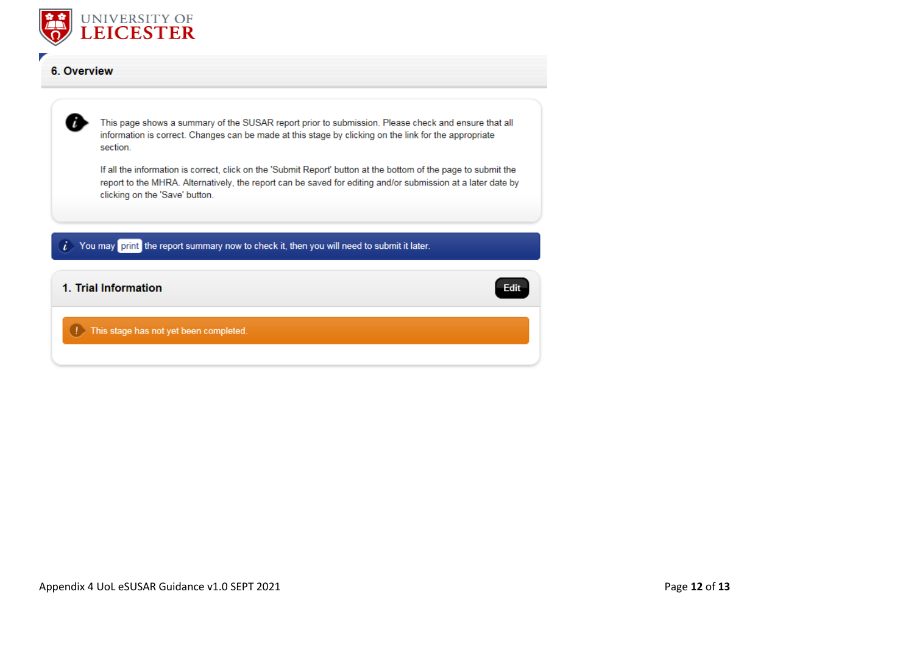

#### 6. Overview



This page shows a summary of the SUSAR report prior to submission. Please check and ensure that all information is correct. Changes can be made at this stage by clicking on the link for the appropriate section.

If all the information is correct, click on the 'Submit Report' button at the bottom of the page to submit the report to the MHRA. Alternatively, the report can be saved for editing and/or submission at a later date by clicking on the 'Save' button.

 $i$  You may print the report summary now to check it, then you will need to submit it later.

1. Trial Information

Edit

**1** This stage has not yet been completed.